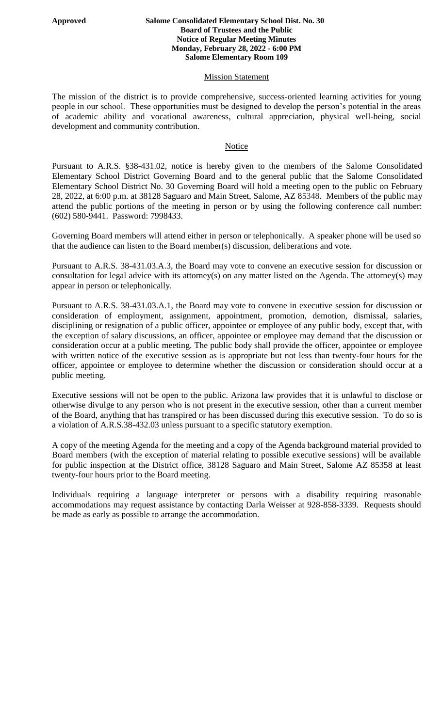#### **Approved Salome Consolidated Elementary School Dist. No. 30 Board of Trustees and the Public Notice of Regular Meeting Minutes Monday, February 28, 2022 - 6:00 PM Salome Elementary Room 109**

## **Mission Statement**

The mission of the district is to provide comprehensive, success-oriented learning activities for young people in our school. These opportunities must be designed to develop the person's potential in the areas of academic ability and vocational awareness, cultural appreciation, physical well-being, social development and community contribution.

## Notice

Pursuant to A.R.S. §38-431.02, notice is hereby given to the members of the Salome Consolidated Elementary School District Governing Board and to the general public that the Salome Consolidated Elementary School District No. 30 Governing Board will hold a meeting open to the public on February 28, 2022, at 6:00 p.m. at 38128 Saguaro and Main Street, Salome, AZ 85348. Members of the public may attend the public portions of the meeting in person or by using the following conference call number: (602) 580-9441. Password: 7998433.

Governing Board members will attend either in person or telephonically. A speaker phone will be used so that the audience can listen to the Board member(s) discussion, deliberations and vote.

Pursuant to A.R.S. 38-431.03.A.3, the Board may vote to convene an executive session for discussion or consultation for legal advice with its attorney(s) on any matter listed on the Agenda. The attorney(s) may appear in person or telephonically.

Pursuant to A.R.S. 38-431.03.A.1, the Board may vote to convene in executive session for discussion or consideration of employment, assignment, appointment, promotion, demotion, dismissal, salaries, disciplining or resignation of a public officer, appointee or employee of any public body, except that, with the exception of salary discussions, an officer, appointee or employee may demand that the discussion or consideration occur at a public meeting. The public body shall provide the officer, appointee or employee with written notice of the executive session as is appropriate but not less than twenty-four hours for the officer, appointee or employee to determine whether the discussion or consideration should occur at a public meeting.

Executive sessions will not be open to the public. Arizona law provides that it is unlawful to disclose or otherwise divulge to any person who is not present in the executive session, other than a current member of the Board, anything that has transpired or has been discussed during this executive session. To do so is a violation of A.R.S.38-432.03 unless pursuant to a specific statutory exemption.

A copy of the meeting Agenda for the meeting and a copy of the Agenda background material provided to Board members (with the exception of material relating to possible executive sessions) will be available for public inspection at the District office, 38128 Saguaro and Main Street, Salome AZ 85358 at least twenty-four hours prior to the Board meeting.

Individuals requiring a language interpreter or persons with a disability requiring reasonable accommodations may request assistance by contacting Darla Weisser at 928-858-3339. Requests should be made as early as possible to arrange the accommodation.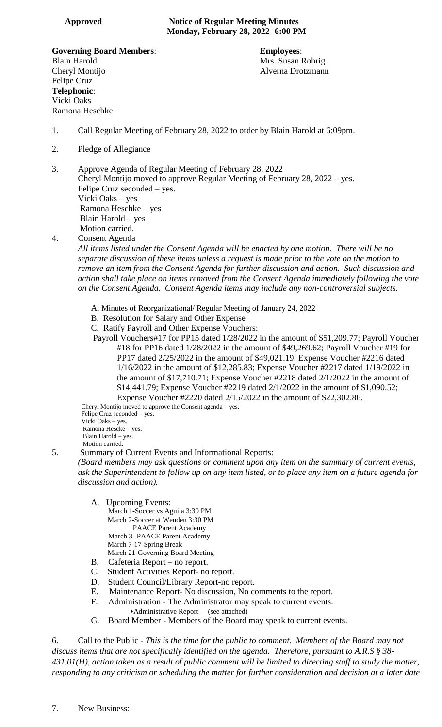**Governing Board Members**: **Employees**: Blain Harold **Mrs.** Susan Rohrig Mrs. Susan Rohrig Cheryl Montijo Alverna Drotzmann Felipe Cruz **Telephonic**: Vicki Oaks Ramona Heschke

- 1. Call Regular Meeting of February 28, 2022 to order by Blain Harold at 6:09pm.
- 2. Pledge of Allegiance
- 3. Approve Agenda of Regular Meeting of February 28, 2022 Cheryl Montijo moved to approve Regular Meeting of February 28, 2022 – yes. Felipe Cruz seconded – yes. Vicki Oaks – yes Ramona Heschke – yes Blain Harold – yes Motion carried.

4. Consent Agenda

*All items listed under the Consent Agenda will be enacted by one motion. There will be no separate discussion of these items unless a request is made prior to the vote on the motion to remove an item from the Consent Agenda for further discussion and action. Such discussion and action shall take place on items removed from the Consent Agenda immediately following the vote on the Consent Agenda. Consent Agenda items may include any non-controversial subjects.*

- A. Minutes of Reorganizational/ Regular Meeting of January 24, 2022
- B. Resolution for Salary and Other Expense
- C. Ratify Payroll and Other Expense Vouchers:

 Payroll Vouchers#17 for PP15 dated 1/28/2022 in the amount of \$51,209.77; Payroll Voucher #18 for PP16 dated 1/28/2022 in the amount of \$49,269.62; Payroll Voucher #19 for PP17 dated 2/25/2022 in the amount of \$49,021.19; Expense Voucher #2216 dated 1/16/2022 in the amount of \$12,285.83; Expense Voucher #2217 dated 1/19/2022 in the amount of \$17,710.71; Expense Voucher #2218 dated 2/1/2022 in the amount of \$14,441.79; Expense Voucher #2219 dated 2/1/2022 in the amount of \$1,090.52; Expense Voucher #2220 dated 2/15/2022 in the amount of \$22,302.86.

 Cheryl Montijo moved to approve the Consent agenda – yes. Felipe Cruz seconded – yes.

 Vicki Oaks – yes. Ramona Hescke – yes. Blain Harold – yes. Motion carried.

### 5. Summary of Current Events and Informational Reports:

*(Board members may ask questions or comment upon any item on the summary of current events, ask the Superintendent to follow up on any item listed, or to place any item on a future agenda for discussion and action).*

- A. Upcoming Events:
	- March 1-Soccer vs Aguila 3:30 PM March 2-Soccer at Wenden 3:30 PM PAACE Parent Academy March 3- PAACE Parent Academy March 7-17-Spring Break March 21-Governing Board Meeting
- B. Cafeteria Report no report.
- C. Student Activities Report- no report.
- D. Student Council/Library Report-no report.
- E. Maintenance Report- No discussion, No comments to the report.
- F. Administration The Administrator may speak to current events.
	- •Administrative Report (see attached)
- G. Board Member Members of the Board may speak to current events.

6. Call to the Public - *This is the time for the public to comment. Members of the Board may not discuss items that are not specifically identified on the agenda. Therefore, pursuant to A.R.S § 38- 431.01(H), action taken as a result of public comment will be limited to directing staff to study the matter, responding to any criticism or scheduling the matter for further consideration and decision at a later date*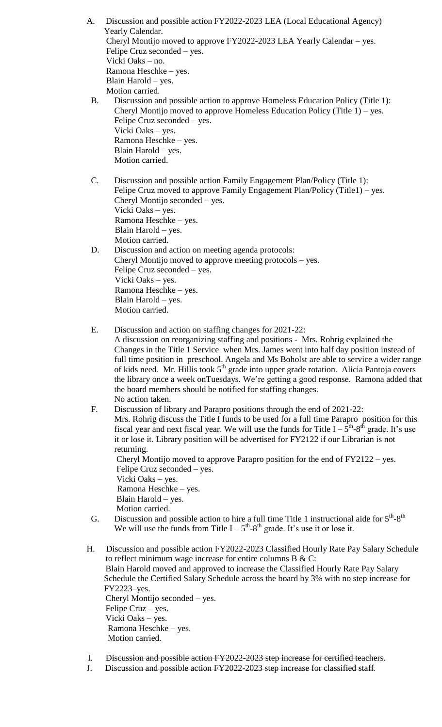A. Discussion and possible action FY2022-2023 LEA (Local Educational Agency) Yearly Calendar. Cheryl Montijo moved to approve FY2022-2023 LEA Yearly Calendar – yes. Felipe Cruz seconded – yes. Vicki Oaks – no. Ramona Heschke – yes. Blain Harold – yes. Motion carried.

- B. Discussion and possible action to approve Homeless Education Policy (Title 1): Cheryl Montijo moved to approve Homeless Education Policy (Title 1) – yes. Felipe Cruz seconded – yes. Vicki Oaks – yes. Ramona Heschke – yes. Blain Harold – yes. Motion carried.
- C. Discussion and possible action Family Engagement Plan/Policy (Title 1): Felipe Cruz moved to approve Family Engagement Plan/Policy (Title1) – yes. Cheryl Montijo seconded – yes. Vicki Oaks – yes. Ramona Heschke – yes. Blain Harold – yes. Motion carried.

# D. Discussion and action on meeting agenda protocols: Cheryl Montijo moved to approve meeting protocols – yes. Felipe Cruz seconded – yes. Vicki Oaks – yes. Ramona Heschke – yes. Blain Harold – yes. Motion carried.

E. Discussion and action on staffing changes for 2021-22:

A discussion on reorganizing staffing and positions - Mrs. Rohrig explained the Changes in the Title 1 Service when Mrs. James went into half day position instead of full time position in preschool. Angela and Ms Boholst are able to service a wider range of kids need. Mr. Hillis took 5<sup>th</sup> grade into upper grade rotation. Alicia Pantoja covers the library once a week onTuesdays. We're getting a good response. Ramona added that the board members should be notified for staffing changes. No action taken.

- F. Discussion of library and Parapro positions through the end of 2021-22: Mrs. Rohrig discuss the Title I funds to be used for a full time Parapro position for this fiscal year and next fiscal year. We will use the funds for Title  $I - 5^{th}$ -8<sup>th</sup> grade. It's use it or lose it. Library position will be advertised for FY2122 if our Librarian is not returning. Cheryl Montijo moved to approve Parapro position for the end of FY2122 – yes. Felipe Cruz seconded – yes. Vicki Oaks – yes. Ramona Heschke – yes. Blain Harold – yes. Motion carried. G. Discussion and possible action to hire a full time Title 1 instructional aide for  $5<sup>th</sup>-8<sup>th</sup>$ We will use the funds from Title  $I - 5<sup>th</sup>-8<sup>th</sup>$  grade. It's use it or lose it.
- H. Discussion and possible action FY2022-2023 Classified Hourly Rate Pay Salary Schedule to reflect minimum wage increase for entire columns B  $&C$ : Blain Harold moved and approved to increase the Classified Hourly Rate Pay Salary Schedule the Certified Salary Schedule across the board by 3% with no step increase for FY2223–yes. Cheryl Montijo seconded – yes. Felipe Cruz – yes. Vicki Oaks – yes. Ramona Heschke – yes. Motion carried.
- I. Discussion and possible action FY2022-2023 step increase for certified teachers.
- J. Discussion and possible action FY2022-2023 step increase for classified staff.